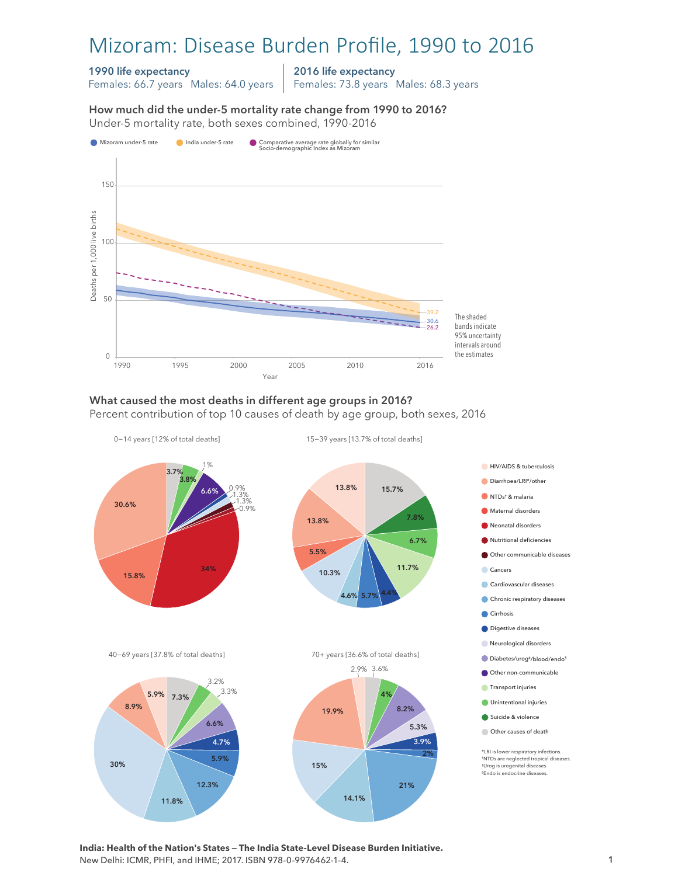# Mizoram: Disease Burden Profile, 1990 to 2016

#### 1990 life expectancy

Females: 66.7 years Males: 64.0 years

2016 life expectancy

Females: 73.8 years Males: 68.3 years

How much did the under-5 mortality rate change from 1990 to 2016?





### What caused the most deaths in different age groups in 2016?

Percent contribution of top 10 causes of death by age group, both sexes, 2016



**India: Health of the Nation's States — The India State-Level Disease Burden Initiative.**  New Delhi: ICMR, PHFI, and IHME; 2017. ISBN 978-0-9976462-1-4.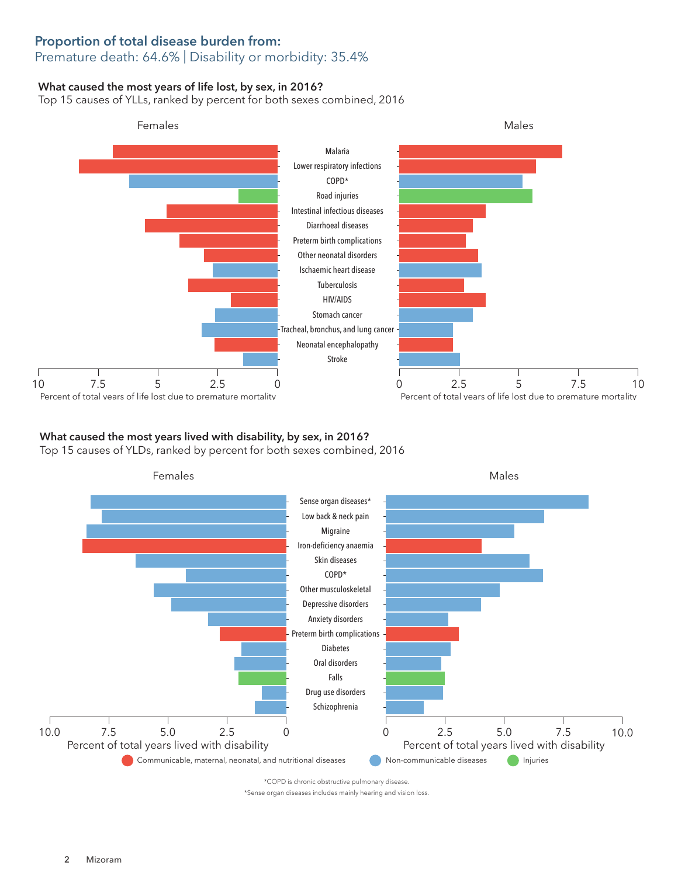### Proportion of total disease burden from: Premature death: 64.6% | Disability or morbidity: 35.4%

#### What caused the most years of life lost, by sex, in 2016?

Top 15 causes of YLLs, ranked by percent for both sexes combined, 2016



# What caused the most years lived with disability, by sex, in 2016?

Top 15 causes of YLDs, ranked by percent for both sexes combined, 2016



\*COPD is chronic obstructive pulmonary disease.

\*Sense organ diseases includes mainly hearing and vision loss.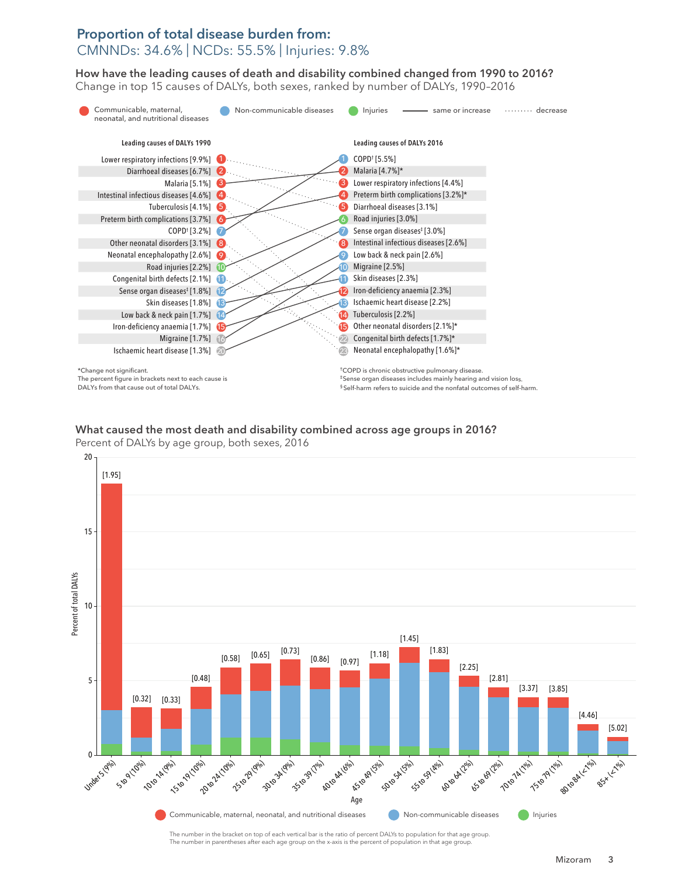## Proportion of total disease burden from: CMNNDs: 34.6% | NCDs: 55.5% | Injuries: 9.8%

How have the leading causes of death and disability combined changed from 1990 to 2016? How have the leading causes of death and disability combined changed from 1990 to 2016? Change in top 15 causes of DALYs, both sexes, ranked by number of DALYs, 1990–2016 Change top 15 causes of DALYs, both sexes, ranked by number of DALYs, 1990–2016



What caused the most death and disability combined across age groups in 2016? What caused the most death and disability combined across age groups in 2016? Percent of DALYs by age group, both sexes, 2016 Percent of DALYs by age group, both sexes, 2016



The number in the bracket on top of each vertical bar is the ratio of percent DALYs to population for that age group. The number in parentheses after each age group on the x-axis is the percent of population in that age group.